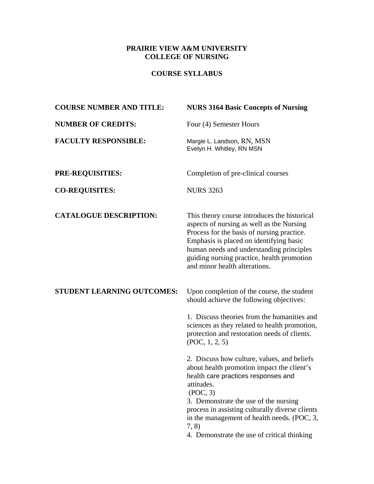## **PRAIRIE VIEW A&M UNIVERSITY COLLEGE OF NURSING**

# **COURSE SYLLABUS**

| <b>COURSE NUMBER AND TITLE:</b> | <b>NURS 3164 Basic Concepts of Nursing</b>                                                                                                                                                                                                                                                                                                                    |
|---------------------------------|---------------------------------------------------------------------------------------------------------------------------------------------------------------------------------------------------------------------------------------------------------------------------------------------------------------------------------------------------------------|
| <b>NUMBER OF CREDITS:</b>       | Four (4) Semester Hours                                                                                                                                                                                                                                                                                                                                       |
| <b>FACULTY RESPONSIBLE:</b>     | Margie L. Landson, RN, MSN<br>Evelyn H. Whitley, RN MSN                                                                                                                                                                                                                                                                                                       |
| <b>PRE-REQUISITIES:</b>         | Completion of pre-clinical courses                                                                                                                                                                                                                                                                                                                            |
| <b>CO-REQUISITES:</b>           | <b>NURS 3263</b>                                                                                                                                                                                                                                                                                                                                              |
| <b>CATALOGUE DESCRIPTION:</b>   | This theory course introduces the historical<br>aspects of nursing as well as the Nursing<br>Process for the basis of nursing practice.<br>Emphasis is placed on identifying basic<br>human needs and understanding principles<br>guiding nursing practice, health promotion<br>and minor health alterations.                                                 |
| STUDENT LEARNING OUTCOMES:      | Upon completion of the course, the student<br>should achieve the following objectives:                                                                                                                                                                                                                                                                        |
|                                 | 1. Discuss theories from the humanities and<br>sciences as they related to health promotion,<br>protection and restoration needs of clients.<br>(POC, 1, 2, 5)                                                                                                                                                                                                |
|                                 | 2. Discuss how culture, values, and beliefs<br>about health promotion impact the client's<br>health care practices responses and<br>attitudes.<br>(POC, 3)<br>3. Demonstrate the use of the nursing<br>process in assisting culturally diverse clients<br>in the management of health needs. (POC, 3,<br>7, 8)<br>4. Demonstrate the use of critical thinking |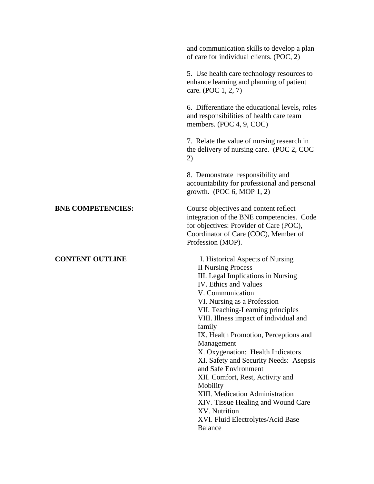|                          | and communication skills to develop a plan<br>of care for individual clients. (POC, 2)                                                                                                                                                                                                                                                                                                                                                                                                                                                                                                                                                         |
|--------------------------|------------------------------------------------------------------------------------------------------------------------------------------------------------------------------------------------------------------------------------------------------------------------------------------------------------------------------------------------------------------------------------------------------------------------------------------------------------------------------------------------------------------------------------------------------------------------------------------------------------------------------------------------|
|                          | 5. Use health care technology resources to<br>enhance learning and planning of patient<br>care. (POC 1, 2, 7)                                                                                                                                                                                                                                                                                                                                                                                                                                                                                                                                  |
|                          | 6. Differentiate the educational levels, roles<br>and responsibilities of health care team<br>members. (POC 4, 9, COC)                                                                                                                                                                                                                                                                                                                                                                                                                                                                                                                         |
|                          | 7. Relate the value of nursing research in<br>the delivery of nursing care. (POC 2, COC)<br>2)                                                                                                                                                                                                                                                                                                                                                                                                                                                                                                                                                 |
|                          | 8. Demonstrate responsibility and<br>accountability for professional and personal<br>growth. (POC $6$ , MOP $1, 2$ )                                                                                                                                                                                                                                                                                                                                                                                                                                                                                                                           |
| <b>BNE COMPETENCIES:</b> | Course objectives and content reflect<br>integration of the BNE competencies. Code<br>for objectives: Provider of Care (POC),<br>Coordinator of Care (COC), Member of<br>Profession (MOP).                                                                                                                                                                                                                                                                                                                                                                                                                                                     |
| <b>CONTENT OUTLINE</b>   | I. Historical Aspects of Nursing<br><b>II Nursing Process</b><br>III. Legal Implications in Nursing<br><b>IV.</b> Ethics and Values<br>V. Communication<br>VI. Nursing as a Profession<br>VII. Teaching-Learning principles<br>VIII. Illness impact of individual and<br>family<br>IX. Health Promotion, Perceptions and<br>Management<br>X. Oxygenation: Health Indicators<br>XI. Safety and Security Needs: Asepsis<br>and Safe Environment<br>XII. Comfort, Rest, Activity and<br>Mobility<br>XIII. Medication Administration<br>XIV. Tissue Healing and Wound Care<br>XV. Nutrition<br>XVI. Fluid Electrolytes/Acid Base<br><b>Balance</b> |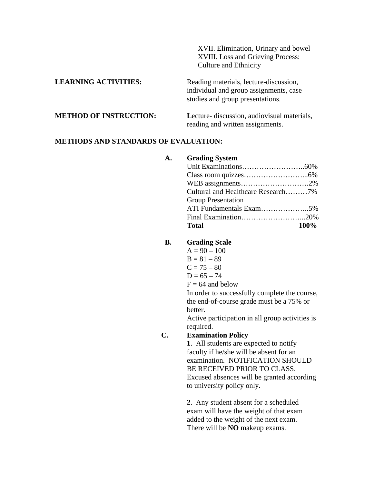|                               | XVII. Elimination, Urinary and bowel<br>XVIII. Loss and Grieving Process:<br><b>Culture and Ethnicity</b>            |
|-------------------------------|----------------------------------------------------------------------------------------------------------------------|
| <b>LEARNING ACTIVITIES:</b>   | Reading materials, lecture-discussion,<br>individual and group assignments, case<br>studies and group presentations. |
| <b>METHOD OF INSTRUCTION:</b> | Lecture- discussion, audiovisual materials,<br>reading and written assignments.                                      |

#### **METHODS AND STANDARDS OF EVALUATION:**

#### **A. Grading System**

| Cultural and Healthcare Research7% |
|------------------------------------|
| <b>Group Presentation</b>          |
|                                    |
|                                    |
| <b>100%</b><br><b>Total</b>        |

## **B. Grading Scale**

- $A = 90 100$
- $B = 81 89$
- $C = 75 80$
- $D = 65 74$
- $F = 64$  and below

In order to successfully complete the course, the end-of-course grade must be a 75% or better.

Active participation in all group activities is required.

### **C. Examination Policy**

**1**. All students are expected to notify faculty if he/she will be absent for an examination. NOTIFICATION SHOULD BE RECEIVED PRIOR TO CLASS. Excused absences will be granted according to university policy only.

**2**. Any student absent for a scheduled exam will have the weight of that exam added to the weight of the next exam. There will be **NO** makeup exams.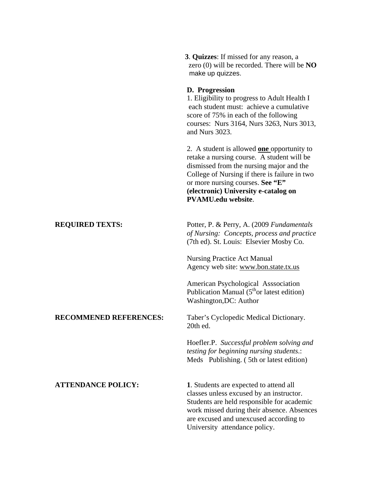|                               | 3. Quizzes: If missed for any reason, a<br>zero $(0)$ will be recorded. There will be $NO$<br>make up quizzes.                                                                                                                                                                                        |
|-------------------------------|-------------------------------------------------------------------------------------------------------------------------------------------------------------------------------------------------------------------------------------------------------------------------------------------------------|
|                               | D. Progression<br>1. Eligibility to progress to Adult Health I<br>each student must: achieve a cumulative<br>score of 75% in each of the following<br>courses: Nurs 3164, Nurs 3263, Nurs 3013,<br>and Nurs 3023.                                                                                     |
|                               | 2. A student is allowed <b>one</b> opportunity to<br>retake a nursing course. A student will be<br>dismissed from the nursing major and the<br>College of Nursing if there is failure in two<br>or more nursing courses. See "E"<br>(electronic) University e-catalog on<br><b>PVAMU.edu website.</b> |
| <b>REQUIRED TEXTS:</b>        | Potter, P. & Perry, A. (2009 Fundamentals<br>of Nursing: Concepts, process and practice<br>(7th ed). St. Louis: Elsevier Mosby Co.                                                                                                                                                                    |
|                               | <b>Nursing Practice Act Manual</b><br>Agency web site: www.bon.state.tx.us                                                                                                                                                                                                                            |
|                               | American Psychological Asssociation<br>Publication Manual $(5th$ or latest edition)<br>Washington, DC: Author                                                                                                                                                                                         |
| <b>RECOMMENED REFERENCES:</b> | Taber's Cyclopedic Medical Dictionary.<br>20th ed.                                                                                                                                                                                                                                                    |
|                               | Hoefler.P. Successful problem solving and<br><i>testing for beginning nursing students.:</i><br>Meds Publishing. (5th or latest edition)                                                                                                                                                              |
| <b>ATTENDANCE POLICY:</b>     | 1. Students are expected to attend all<br>classes unless excused by an instructor.<br>Students are held responsible for academic<br>work missed during their absence. Absences<br>are excused and unexcused according to<br>University attendance policy.                                             |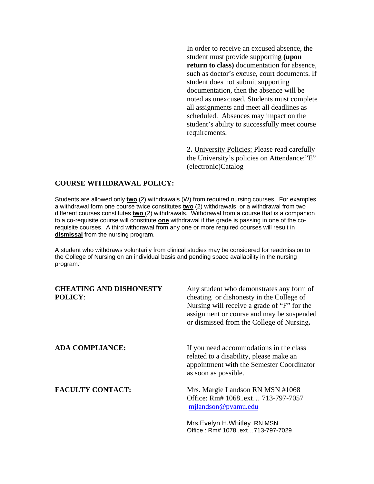In order to receive an excused absence, the student must provide supporting **(upon return to class)** documentation for absence, such as doctor's excuse, court documents. If student does not submit supporting documentation, then the absence will be noted as unexcused. Students must complete all assignments and meet all deadlines as scheduled. Absences may impact on the student's ability to successfully meet course requirements.

**2.** University Policies: Please read carefully the University's policies on Attendance:"E" (electronic)Catalog

#### **COURSE WITHDRAWAL POLICY:**

Students are allowed only **two** (2) withdrawals (W) from required nursing courses. For examples, a withdrawal form one course twice constitutes **two** (2) withdrawals; or a withdrawal from two different courses constitutes **two** (2) withdrawals. Withdrawal from a course that is a companion to a co-requisite course will constitute **one** withdrawal if the grade is passing in one of the corequisite courses. A third withdrawal from any one or more required courses will result in **dismissal** from the nursing program.

A student who withdraws voluntarily from clinical studies may be considered for readmission to the College of Nursing on an individual basis and pending space availability in the nursing program."

| <b>CHEATING AND DISHONESTY</b><br><b>POLICY:</b> | Any student who demonstrates any form of<br>cheating or dishonesty in the College of<br>Nursing will receive a grade of "F" for the<br>assignment or course and may be suspended<br>or dismissed from the College of Nursing. |
|--------------------------------------------------|-------------------------------------------------------------------------------------------------------------------------------------------------------------------------------------------------------------------------------|
| <b>ADA COMPLIANCE:</b>                           | If you need accommodations in the class<br>related to a disability, please make an<br>appointment with the Semester Coordinator<br>as soon as possible.                                                                       |
| <b>FACULTY CONTACT:</b>                          | Mrs. Margie Landson RN MSN #1068<br>Office: Rm# 1068ext 713-797-7057<br>milandson@pyamu.edu                                                                                                                                   |
|                                                  | Mrs. Evelyn H. Whitley RN MSN                                                                                                                                                                                                 |

Office : Rm# 1078..ext…713-797-7029